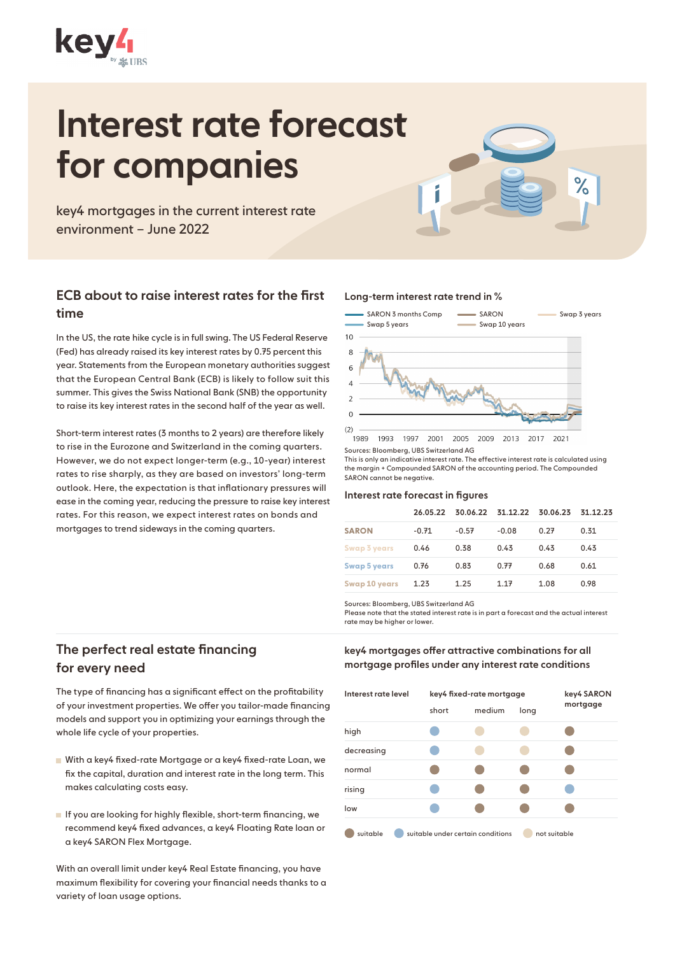

# Interest rate forecast for companies

key4 mortgages in the current interest rate environment – June 2022

## ECB about to raise interest rates for the first time

In the US, the rate hike cycle is in full swing. The US Federal Reserve (Fed) has already raised its key interest rates by 0.75 percent this year. Statements from the European monetary authorities suggest that the European Central Bank (ECB) is likely to follow suit this summer. This gives the Swiss National Bank (SNB) the opportunity to raise its key interest rates in the second half of the year as well.

Short-term interest rates (3 months to 2 years) are therefore likely to rise in the Eurozone and Switzerland in the coming quarters. However, we do not expect longer-term (e.g., 10-year) interest rates to rise sharply, as they are based on investors' long-term outlook. Here, the expectation is that inflationary pressures will ease in the coming year, reducing the pressure to raise key interest rates. For this reason, we expect interest rates on bonds and mortgages to trend sideways in the coming quarters.

#### Long-term interest rate trend in %



 $\%$ 

Sources: Bloomberg, UBS Switzerland AG

This is only an indicative interest rate. The effective interest rate is calculated using the margin + Compounded SARON of the accounting period. The Compounded SARON cannot be negative.

#### Interest rate forecast in figures

|                      |         | 26.05.22 30.06.22 31.12.22 30.06.23 31.12.23 |         |      |      |
|----------------------|---------|----------------------------------------------|---------|------|------|
| <b>SARON</b>         | $-0.71$ | $-0.57$                                      | $-0.08$ | 0.27 | 0.31 |
| Swap 3 years         | 0.46    | 0.38                                         | 0.43    | 0.43 | 0.43 |
| <b>Swap 5 years</b>  | 0.76    | 0.83                                         | 0.77    | 0.68 | 0.61 |
| <b>Swap 10 years</b> | 1.23    | 1.25                                         | 1.17    | 1.08 | 0.98 |

Sources: Bloomberg, UBS Switzerland AG

Please note that the stated interest rate is in part a forecast and the actual interest rate may be higher or lower.

# The perfect real estate financing for every need

The type of financing has a significant effect on the profitability of your investment properties. We offer you tailor-made financing models and support you in optimizing your earnings through the whole life cycle of your properties.

- With a key4 fixed-rate Mortgage or a key4 fixed-rate Loan, we fix the capital, duration and interest rate in the long term. This makes calculating costs easy.
- If you are looking for highly flexible, short-term financing, we recommend key4 fixed advances, a key4 Floating Rate loan or a key4 SARON Flex Mortgage.

With an overall limit under key4 Real Estate financing, you have maximum flexibility for covering your financial needs thanks to a variety of loan usage options.

key4 mortgages offer attractive combinations for all mortgage profiles under any interest rate conditions

| Interest rate level | key4 fixed-rate mortgage          | key4 SARON |              |          |
|---------------------|-----------------------------------|------------|--------------|----------|
|                     | short                             | medium     | long         | mortgage |
| high                |                                   |            |              |          |
| decreasing          |                                   |            |              |          |
| normal              |                                   |            |              |          |
| rising              |                                   |            |              |          |
| low                 |                                   |            |              |          |
| suitable            | suitable under certain conditions |            | not suitable |          |